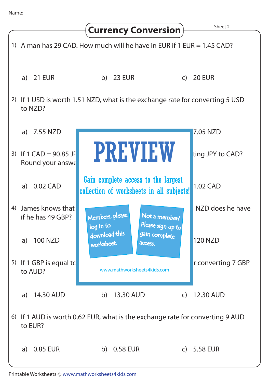